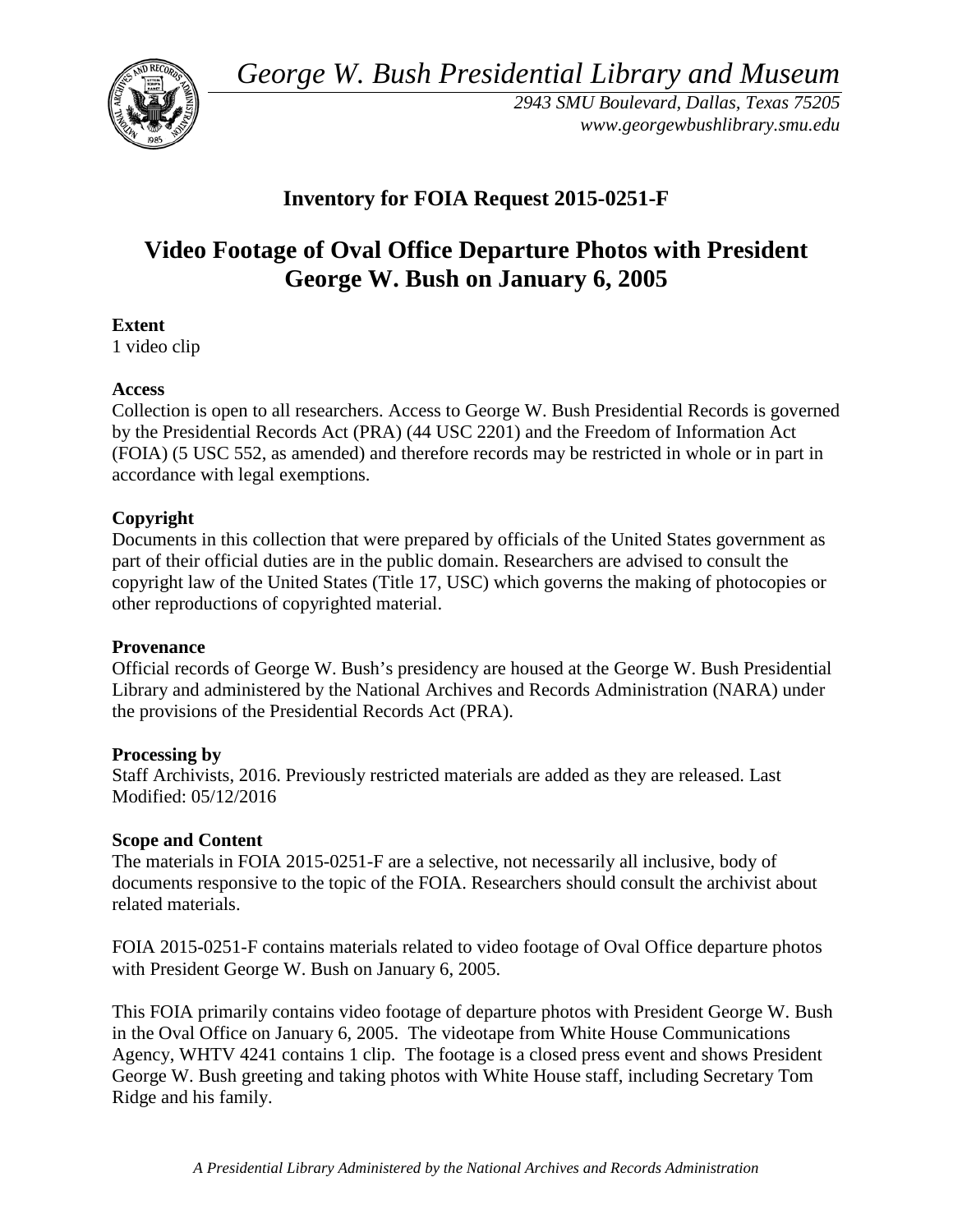*George W. Bush Presidential Library and Museum* 



 *2943 SMU Boulevard, Dallas, Texas 75205 <www.georgewbushlibrary.smu.edu>*

# **Inventory for FOIA Request 2015-0251-F**

# **Video Footage of Oval Office Departure Photos with President George W. Bush on January 6, 2005**

### **Extent**

1 video clip

### **Access**

 by the Presidential Records Act (PRA) (44 USC 2201) and the Freedom of Information Act Collection is open to all researchers. Access to George W. Bush Presidential Records is governed (FOIA) (5 USC 552, as amended) and therefore records may be restricted in whole or in part in accordance with legal exemptions.

## **Copyright**

 Documents in this collection that were prepared by officials of the United States government as part of their official duties are in the public domain. Researchers are advised to consult the copyright law of the United States (Title 17, USC) which governs the making of photocopies or other reproductions of copyrighted material.

#### **Provenance**

 Official records of George W. Bush's presidency are housed at the George W. Bush Presidential Library and administered by the National Archives and Records Administration (NARA) under the provisions of the Presidential Records Act (PRA).

#### **Processing by**

 Modified: 05/12/2016 Staff Archivists, 2016. Previously restricted materials are added as they are released. Last

#### **Scope and Content**

The materials in FOIA 2015-0251-F are a selective, not necessarily all inclusive, body of documents responsive to the topic of the FOIA. Researchers should consult the archivist about related materials.

FOIA 2015-0251-F contains materials related to video footage of Oval Office departure photos with President George W. Bush on January 6, 2005.

This FOIA primarily contains video footage of departure photos with President George W. Bush in the Oval Office on January 6, 2005. The videotape from White House Communications Agency, WHTV 4241 contains 1 clip. The footage is a closed press event and shows President George W. Bush greeting and taking photos with White House staff, including Secretary Tom Ridge and his family.